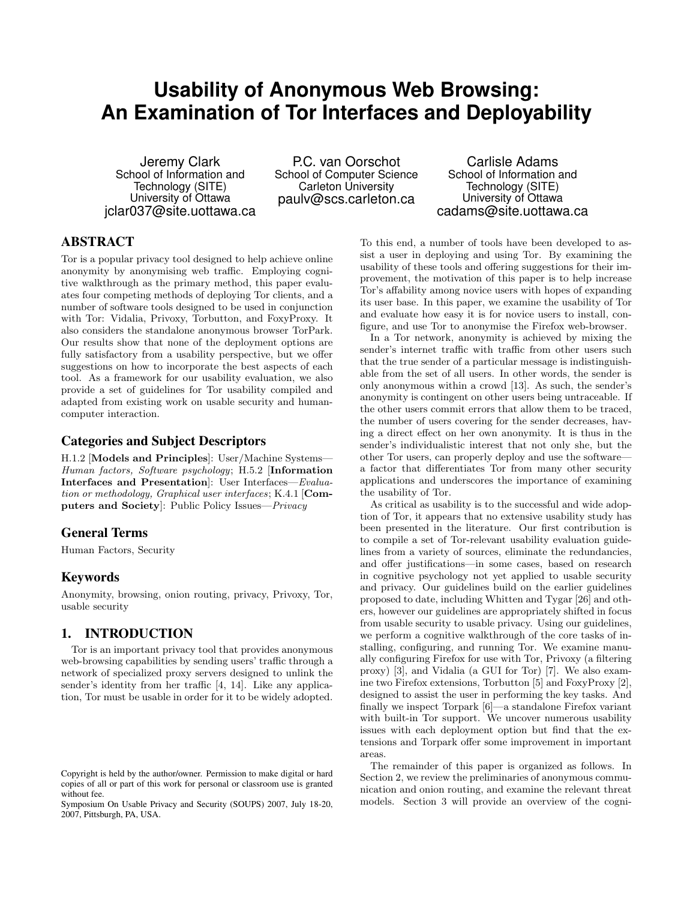# **Usability of Anonymous Web Browsing: An Examination of Tor Interfaces and Deployability**

Jeremy Clark School of Information and Technology (SITE) University of Ottawa jclar037@site.uottawa.ca

P.C. van Oorschot School of Computer Science Carleton University paulv@scs.carleton.ca

Carlisle Adams School of Information and Technology (SITE) University of Ottawa cadams@site.uottawa.ca

## ABSTRACT

Tor is a popular privacy tool designed to help achieve online anonymity by anonymising web traffic. Employing cognitive walkthrough as the primary method, this paper evaluates four competing methods of deploying Tor clients, and a number of software tools designed to be used in conjunction with Tor: Vidalia, Privoxy, Torbutton, and FoxyProxy. It also considers the standalone anonymous browser TorPark. Our results show that none of the deployment options are fully satisfactory from a usability perspective, but we offer suggestions on how to incorporate the best aspects of each tool. As a framework for our usability evaluation, we also provide a set of guidelines for Tor usability compiled and adapted from existing work on usable security and humancomputer interaction.

## Categories and Subject Descriptors

H.1.2 [Models and Principles]: User/Machine Systems— Human factors, Software psychology; H.5.2 [Information Interfaces and Presentation]: User Interfaces—Evaluation or methodology, Graphical user interfaces; K.4.1 [Computers and Society]: Public Policy Issues—Privacy

## General Terms

Human Factors, Security

## Keywords

Anonymity, browsing, onion routing, privacy, Privoxy, Tor, usable security

## 1. INTRODUCTION

Tor is an important privacy tool that provides anonymous web-browsing capabilities by sending users' traffic through a network of specialized proxy servers designed to unlink the sender's identity from her traffic [4, 14]. Like any application, Tor must be usable in order for it to be widely adopted.

To this end, a number of tools have been developed to assist a user in deploying and using Tor. By examining the usability of these tools and offering suggestions for their improvement, the motivation of this paper is to help increase Tor's affability among novice users with hopes of expanding its user base. In this paper, we examine the usability of Tor and evaluate how easy it is for novice users to install, configure, and use Tor to anonymise the Firefox web-browser.

In a Tor network, anonymity is achieved by mixing the sender's internet traffic with traffic from other users such that the true sender of a particular message is indistinguishable from the set of all users. In other words, the sender is only anonymous within a crowd [13]. As such, the sender's anonymity is contingent on other users being untraceable. If the other users commit errors that allow them to be traced, the number of users covering for the sender decreases, having a direct effect on her own anonymity. It is thus in the sender's individualistic interest that not only she, but the other Tor users, can properly deploy and use the software a factor that differentiates Tor from many other security applications and underscores the importance of examining the usability of Tor.

As critical as usability is to the successful and wide adoption of Tor, it appears that no extensive usability study has been presented in the literature. Our first contribution is to compile a set of Tor-relevant usability evaluation guidelines from a variety of sources, eliminate the redundancies, and offer justifications—in some cases, based on research in cognitive psychology not yet applied to usable security and privacy. Our guidelines build on the earlier guidelines proposed to date, including Whitten and Tygar [26] and others, however our guidelines are appropriately shifted in focus from usable security to usable privacy. Using our guidelines, we perform a cognitive walkthrough of the core tasks of installing, configuring, and running Tor. We examine manually configuring Firefox for use with Tor, Privoxy (a filtering proxy) [3], and Vidalia (a GUI for Tor) [7]. We also examine two Firefox extensions, Torbutton [5] and FoxyProxy [2], designed to assist the user in performing the key tasks. And finally we inspect Torpark [6]—a standalone Firefox variant with built-in Tor support. We uncover numerous usability issues with each deployment option but find that the extensions and Torpark offer some improvement in important areas.

The remainder of this paper is organized as follows. In Section 2, we review the preliminaries of anonymous communication and onion routing, and examine the relevant threat models. Section 3 will provide an overview of the cogni-

Copyright is held by the author/owner. Permission to make digital or hard copies of all or part of this work for personal or classroom use is granted without fee.

Symposium On Usable Privacy and Security (SOUPS) 2007, July 18-20, 2007, Pittsburgh, PA, USA.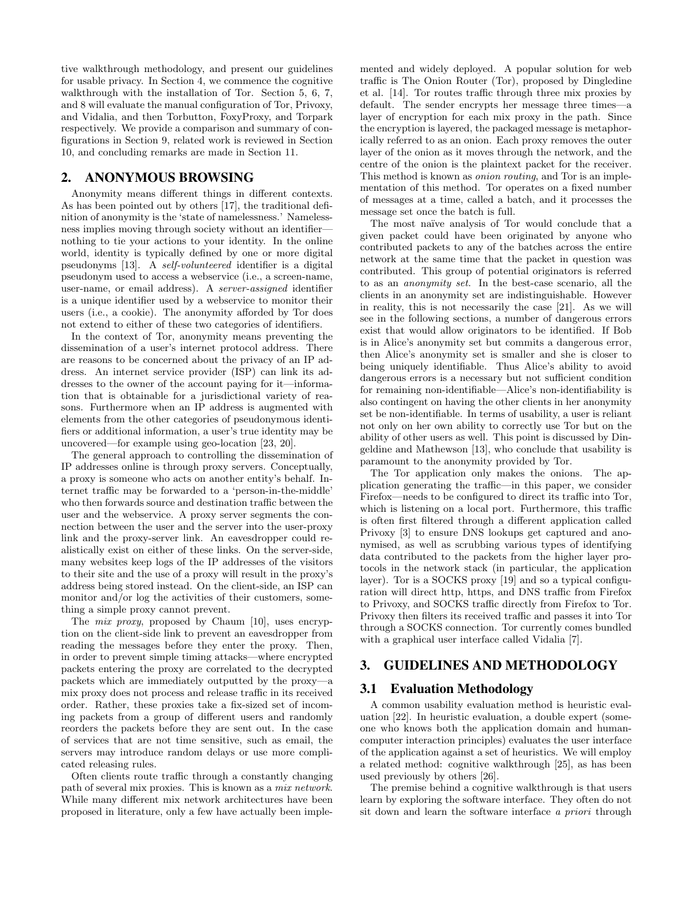tive walkthrough methodology, and present our guidelines for usable privacy. In Section 4, we commence the cognitive walkthrough with the installation of Tor. Section 5, 6, 7, and 8 will evaluate the manual configuration of Tor, Privoxy, and Vidalia, and then Torbutton, FoxyProxy, and Torpark respectively. We provide a comparison and summary of configurations in Section 9, related work is reviewed in Section 10, and concluding remarks are made in Section 11.

## 2. ANONYMOUS BROWSING

Anonymity means different things in different contexts. As has been pointed out by others [17], the traditional definition of anonymity is the 'state of namelessness.' Namelessness implies moving through society without an identifier nothing to tie your actions to your identity. In the online world, identity is typically defined by one or more digital pseudonyms [13]. A self-volunteered identifier is a digital pseudonym used to access a webservice (i.e., a screen-name, user-name, or email address). A server-assigned identifier is a unique identifier used by a webservice to monitor their users (i.e., a cookie). The anonymity afforded by Tor does not extend to either of these two categories of identifiers.

In the context of Tor, anonymity means preventing the dissemination of a user's internet protocol address. There are reasons to be concerned about the privacy of an IP address. An internet service provider (ISP) can link its addresses to the owner of the account paying for it—information that is obtainable for a jurisdictional variety of reasons. Furthermore when an IP address is augmented with elements from the other categories of pseudonymous identifiers or additional information, a user's true identity may be uncovered—for example using geo-location [23, 20].

The general approach to controlling the dissemination of IP addresses online is through proxy servers. Conceptually, a proxy is someone who acts on another entity's behalf. Internet traffic may be forwarded to a 'person-in-the-middle' who then forwards source and destination traffic between the user and the webservice. A proxy server segments the connection between the user and the server into the user-proxy link and the proxy-server link. An eavesdropper could realistically exist on either of these links. On the server-side, many websites keep logs of the IP addresses of the visitors to their site and the use of a proxy will result in the proxy's address being stored instead. On the client-side, an ISP can monitor and/or log the activities of their customers, something a simple proxy cannot prevent.

The *mix proxy*, proposed by Chaum [10], uses encryption on the client-side link to prevent an eavesdropper from reading the messages before they enter the proxy. Then, in order to prevent simple timing attacks—where encrypted packets entering the proxy are correlated to the decrypted packets which are immediately outputted by the proxy—a mix proxy does not process and release traffic in its received order. Rather, these proxies take a fix-sized set of incoming packets from a group of different users and randomly reorders the packets before they are sent out. In the case of services that are not time sensitive, such as email, the servers may introduce random delays or use more complicated releasing rules.

Often clients route traffic through a constantly changing path of several mix proxies. This is known as a mix network. While many different mix network architectures have been proposed in literature, only a few have actually been implemented and widely deployed. A popular solution for web traffic is The Onion Router (Tor), proposed by Dingledine et al. [14]. Tor routes traffic through three mix proxies by default. The sender encrypts her message three times—a layer of encryption for each mix proxy in the path. Since the encryption is layered, the packaged message is metaphorically referred to as an onion. Each proxy removes the outer layer of the onion as it moves through the network, and the centre of the onion is the plaintext packet for the receiver. This method is known as onion routing, and Tor is an implementation of this method. Tor operates on a fixed number of messages at a time, called a batch, and it processes the message set once the batch is full.

The most naïve analysis of Tor would conclude that a given packet could have been originated by anyone who contributed packets to any of the batches across the entire network at the same time that the packet in question was contributed. This group of potential originators is referred to as an anonymity set. In the best-case scenario, all the clients in an anonymity set are indistinguishable. However in reality, this is not necessarily the case [21]. As we will see in the following sections, a number of dangerous errors exist that would allow originators to be identified. If Bob is in Alice's anonymity set but commits a dangerous error, then Alice's anonymity set is smaller and she is closer to being uniquely identifiable. Thus Alice's ability to avoid dangerous errors is a necessary but not sufficient condition for remaining non-identifiable—Alice's non-identifiability is also contingent on having the other clients in her anonymity set be non-identifiable. In terms of usability, a user is reliant not only on her own ability to correctly use Tor but on the ability of other users as well. This point is discussed by Dingeldine and Mathewson [13], who conclude that usability is paramount to the anonymity provided by Tor.

The Tor application only makes the onions. The application generating the traffic—in this paper, we consider Firefox—needs to be configured to direct its traffic into Tor, which is listening on a local port. Furthermore, this traffic is often first filtered through a different application called Privoxy [3] to ensure DNS lookups get captured and anonymised, as well as scrubbing various types of identifying data contributed to the packets from the higher layer protocols in the network stack (in particular, the application layer). Tor is a SOCKS proxy [19] and so a typical configuration will direct http, https, and DNS traffic from Firefox to Privoxy, and SOCKS traffic directly from Firefox to Tor. Privoxy then filters its received traffic and passes it into Tor through a SOCKS connection. Tor currently comes bundled with a graphical user interface called Vidalia [7].

## 3. GUIDELINES AND METHODOLOGY

#### 3.1 Evaluation Methodology

A common usability evaluation method is heuristic evaluation [22]. In heuristic evaluation, a double expert (someone who knows both the application domain and humancomputer interaction principles) evaluates the user interface of the application against a set of heuristics. We will employ a related method: cognitive walkthrough [25], as has been used previously by others [26].

The premise behind a cognitive walkthrough is that users learn by exploring the software interface. They often do not sit down and learn the software interface a priori through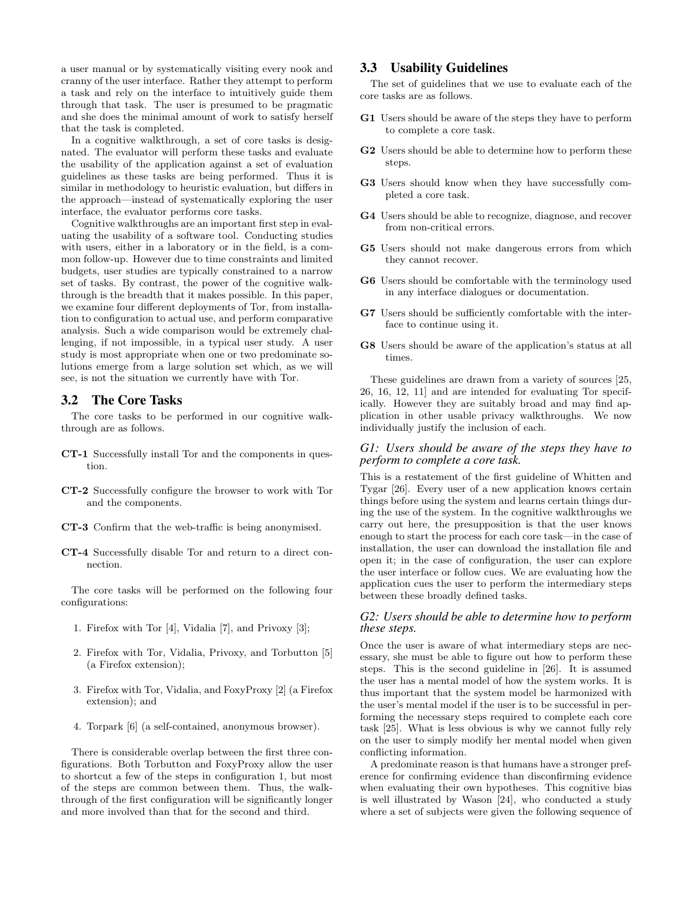a user manual or by systematically visiting every nook and cranny of the user interface. Rather they attempt to perform a task and rely on the interface to intuitively guide them through that task. The user is presumed to be pragmatic and she does the minimal amount of work to satisfy herself that the task is completed.

In a cognitive walkthrough, a set of core tasks is designated. The evaluator will perform these tasks and evaluate the usability of the application against a set of evaluation guidelines as these tasks are being performed. Thus it is similar in methodology to heuristic evaluation, but differs in the approach—instead of systematically exploring the user interface, the evaluator performs core tasks.

Cognitive walkthroughs are an important first step in evaluating the usability of a software tool. Conducting studies with users, either in a laboratory or in the field, is a common follow-up. However due to time constraints and limited budgets, user studies are typically constrained to a narrow set of tasks. By contrast, the power of the cognitive walkthrough is the breadth that it makes possible. In this paper, we examine four different deployments of Tor, from installation to configuration to actual use, and perform comparative analysis. Such a wide comparison would be extremely challenging, if not impossible, in a typical user study. A user study is most appropriate when one or two predominate solutions emerge from a large solution set which, as we will see, is not the situation we currently have with Tor.

### 3.2 The Core Tasks

The core tasks to be performed in our cognitive walkthrough are as follows.

- CT-1 Successfully install Tor and the components in question.
- CT-2 Successfully configure the browser to work with Tor and the components.
- CT-3 Confirm that the web-traffic is being anonymised.
- CT-4 Successfully disable Tor and return to a direct connection.

The core tasks will be performed on the following four configurations:

- 1. Firefox with Tor [4], Vidalia [7], and Privoxy [3];
- 2. Firefox with Tor, Vidalia, Privoxy, and Torbutton [5] (a Firefox extension);
- 3. Firefox with Tor, Vidalia, and FoxyProxy [2] (a Firefox extension); and
- 4. Torpark [6] (a self-contained, anonymous browser).

There is considerable overlap between the first three configurations. Both Torbutton and FoxyProxy allow the user to shortcut a few of the steps in configuration 1, but most of the steps are common between them. Thus, the walkthrough of the first configuration will be significantly longer and more involved than that for the second and third.

## 3.3 Usability Guidelines

The set of guidelines that we use to evaluate each of the core tasks are as follows.

- G1 Users should be aware of the steps they have to perform to complete a core task.
- G2 Users should be able to determine how to perform these steps.
- G3 Users should know when they have successfully completed a core task.
- G4 Users should be able to recognize, diagnose, and recover from non-critical errors.
- G5 Users should not make dangerous errors from which they cannot recover.
- G6 Users should be comfortable with the terminology used in any interface dialogues or documentation.
- G7 Users should be sufficiently comfortable with the interface to continue using it.
- G8 Users should be aware of the application's status at all times.

These guidelines are drawn from a variety of sources [25, 26, 16, 12, 11] and are intended for evaluating Tor specifically. However they are suitably broad and may find application in other usable privacy walkthroughs. We now individually justify the inclusion of each.

#### *G1: Users should be aware of the steps they have to perform to complete a core task.*

This is a restatement of the first guideline of Whitten and Tygar [26]. Every user of a new application knows certain things before using the system and learns certain things during the use of the system. In the cognitive walkthroughs we carry out here, the presupposition is that the user knows enough to start the process for each core task—in the case of installation, the user can download the installation file and open it; in the case of configuration, the user can explore the user interface or follow cues. We are evaluating how the application cues the user to perform the intermediary steps between these broadly defined tasks.

#### *G2: Users should be able to determine how to perform these steps.*

Once the user is aware of what intermediary steps are necessary, she must be able to figure out how to perform these steps. This is the second guideline in [26]. It is assumed the user has a mental model of how the system works. It is thus important that the system model be harmonized with the user's mental model if the user is to be successful in performing the necessary steps required to complete each core task [25]. What is less obvious is why we cannot fully rely on the user to simply modify her mental model when given conflicting information.

A predominate reason is that humans have a stronger preference for confirming evidence than disconfirming evidence when evaluating their own hypotheses. This cognitive bias is well illustrated by Wason [24], who conducted a study where a set of subjects were given the following sequence of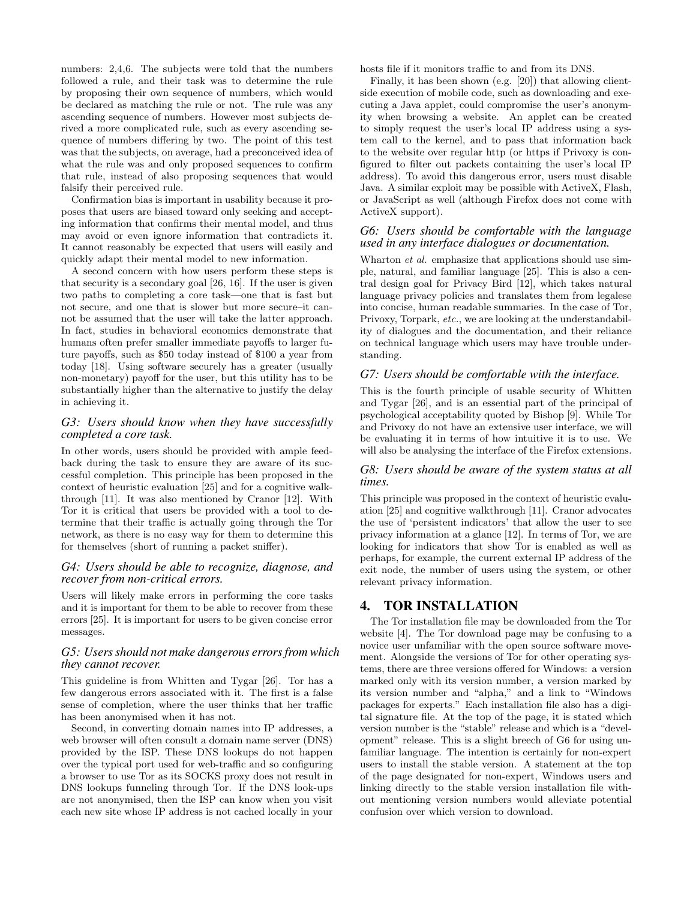numbers: 2,4,6. The subjects were told that the numbers followed a rule, and their task was to determine the rule by proposing their own sequence of numbers, which would be declared as matching the rule or not. The rule was any ascending sequence of numbers. However most subjects derived a more complicated rule, such as every ascending sequence of numbers differing by two. The point of this test was that the subjects, on average, had a preconceived idea of what the rule was and only proposed sequences to confirm that rule, instead of also proposing sequences that would falsify their perceived rule.

Confirmation bias is important in usability because it proposes that users are biased toward only seeking and accepting information that confirms their mental model, and thus may avoid or even ignore information that contradicts it. It cannot reasonably be expected that users will easily and quickly adapt their mental model to new information.

A second concern with how users perform these steps is that security is a secondary goal [26, 16]. If the user is given two paths to completing a core task—one that is fast but not secure, and one that is slower but more secure–it cannot be assumed that the user will take the latter approach. In fact, studies in behavioral economics demonstrate that humans often prefer smaller immediate payoffs to larger future payoffs, such as \$50 today instead of \$100 a year from today [18]. Using software securely has a greater (usually non-monetary) payoff for the user, but this utility has to be substantially higher than the alternative to justify the delay in achieving it.

#### *G3: Users should know when they have successfully completed a core task.*

In other words, users should be provided with ample feedback during the task to ensure they are aware of its successful completion. This principle has been proposed in the context of heuristic evaluation [25] and for a cognitive walkthrough [11]. It was also mentioned by Cranor [12]. With Tor it is critical that users be provided with a tool to determine that their traffic is actually going through the Tor network, as there is no easy way for them to determine this for themselves (short of running a packet sniffer).

#### *G4: Users should be able to recognize, diagnose, and recover from non-critical errors.*

Users will likely make errors in performing the core tasks and it is important for them to be able to recover from these errors [25]. It is important for users to be given concise error messages.

#### *G5: Users should not make dangerous errors from which they cannot recover.*

This guideline is from Whitten and Tygar [26]. Tor has a few dangerous errors associated with it. The first is a false sense of completion, where the user thinks that her traffic has been anonymised when it has not.

Second, in converting domain names into IP addresses, a web browser will often consult a domain name server (DNS) provided by the ISP. These DNS lookups do not happen over the typical port used for web-traffic and so configuring a browser to use Tor as its SOCKS proxy does not result in DNS lookups funneling through Tor. If the DNS look-ups are not anonymised, then the ISP can know when you visit each new site whose IP address is not cached locally in your hosts file if it monitors traffic to and from its DNS.

Finally, it has been shown (e.g. [20]) that allowing clientside execution of mobile code, such as downloading and executing a Java applet, could compromise the user's anonymity when browsing a website. An applet can be created to simply request the user's local IP address using a system call to the kernel, and to pass that information back to the website over regular http (or https if Privoxy is configured to filter out packets containing the user's local IP address). To avoid this dangerous error, users must disable Java. A similar exploit may be possible with ActiveX, Flash, or JavaScript as well (although Firefox does not come with ActiveX support).

#### *G6: Users should be comfortable with the language used in any interface dialogues or documentation.*

Wharton *et al.* emphasize that applications should use simple, natural, and familiar language [25]. This is also a central design goal for Privacy Bird [12], which takes natural language privacy policies and translates them from legalese into concise, human readable summaries. In the case of Tor, Privoxy, Torpark, etc., we are looking at the understandability of dialogues and the documentation, and their reliance on technical language which users may have trouble understanding.

#### *G7: Users should be comfortable with the interface.*

This is the fourth principle of usable security of Whitten and Tygar [26], and is an essential part of the principal of psychological acceptability quoted by Bishop [9]. While Tor and Privoxy do not have an extensive user interface, we will be evaluating it in terms of how intuitive it is to use. We will also be analysing the interface of the Firefox extensions.

#### *G8: Users should be aware of the system status at all times.*

This principle was proposed in the context of heuristic evaluation [25] and cognitive walkthrough [11]. Cranor advocates the use of 'persistent indicators' that allow the user to see privacy information at a glance [12]. In terms of Tor, we are looking for indicators that show Tor is enabled as well as perhaps, for example, the current external IP address of the exit node, the number of users using the system, or other relevant privacy information.

## 4. TOR INSTALLATION

The Tor installation file may be downloaded from the Tor website [4]. The Tor download page may be confusing to a novice user unfamiliar with the open source software movement. Alongside the versions of Tor for other operating systems, there are three versions offered for Windows: a version marked only with its version number, a version marked by its version number and "alpha," and a link to "Windows packages for experts." Each installation file also has a digital signature file. At the top of the page, it is stated which version number is the "stable" release and which is a "development" release. This is a slight breech of G6 for using unfamiliar language. The intention is certainly for non-expert users to install the stable version. A statement at the top of the page designated for non-expert, Windows users and linking directly to the stable version installation file without mentioning version numbers would alleviate potential confusion over which version to download.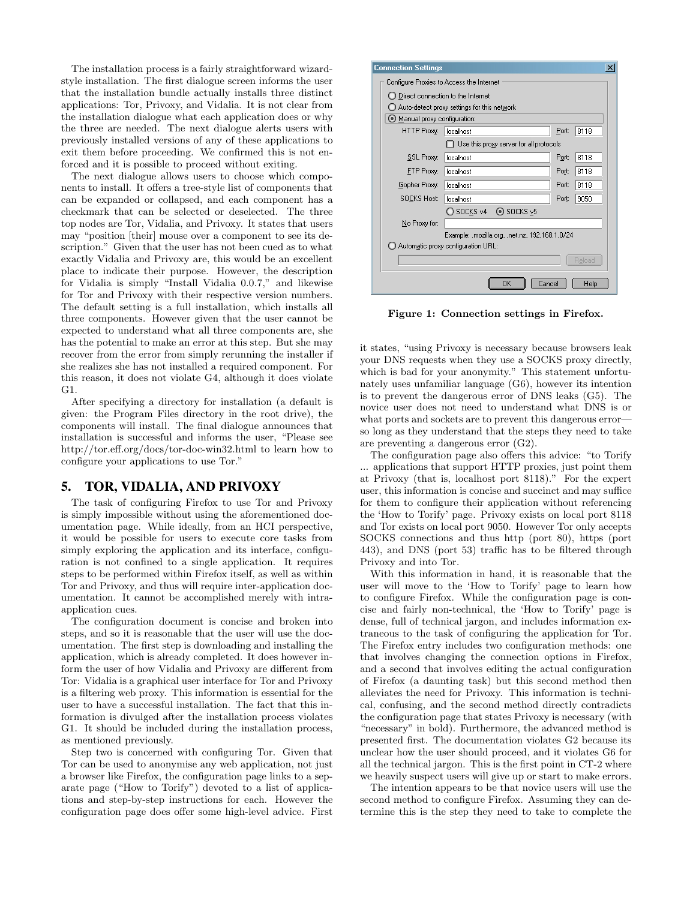The installation process is a fairly straightforward wizardstyle installation. The first dialogue screen informs the user that the installation bundle actually installs three distinct applications: Tor, Privoxy, and Vidalia. It is not clear from the installation dialogue what each application does or why the three are needed. The next dialogue alerts users with previously installed versions of any of these applications to exit them before proceeding. We confirmed this is not enforced and it is possible to proceed without exiting.

The next dialogue allows users to choose which components to install. It offers a tree-style list of components that can be expanded or collapsed, and each component has a checkmark that can be selected or deselected. The three top nodes are Tor, Vidalia, and Privoxy. It states that users may "position [their] mouse over a component to see its description." Given that the user has not been cued as to what exactly Vidalia and Privoxy are, this would be an excellent place to indicate their purpose. However, the description for Vidalia is simply "Install Vidalia 0.0.7," and likewise for Tor and Privoxy with their respective version numbers. The default setting is a full installation, which installs all three components. However given that the user cannot be expected to understand what all three components are, she has the potential to make an error at this step. But she may recover from the error from simply rerunning the installer if she realizes she has not installed a required component. For this reason, it does not violate G4, although it does violate G1.

After specifying a directory for installation (a default is given: the Program Files directory in the root drive), the components will install. The final dialogue announces that installation is successful and informs the user, "Please see http://tor.eff.org/docs/tor-doc-win32.html to learn how to configure your applications to use Tor."

## 5. TOR, VIDALIA, AND PRIVOXY

The task of configuring Firefox to use Tor and Privoxy is simply impossible without using the aforementioned documentation page. While ideally, from an HCI perspective, it would be possible for users to execute core tasks from simply exploring the application and its interface, configuration is not confined to a single application. It requires steps to be performed within Firefox itself, as well as within Tor and Privoxy, and thus will require inter-application documentation. It cannot be accomplished merely with intraapplication cues.

The configuration document is concise and broken into steps, and so it is reasonable that the user will use the documentation. The first step is downloading and installing the application, which is already completed. It does however inform the user of how Vidalia and Privoxy are different from Tor: Vidalia is a graphical user interface for Tor and Privoxy is a filtering web proxy. This information is essential for the user to have a successful installation. The fact that this information is divulged after the installation process violates G1. It should be included during the installation process, as mentioned previously.

Step two is concerned with configuring Tor. Given that Tor can be used to anonymise any web application, not just a browser like Firefox, the configuration page links to a separate page ("How to Torify") devoted to a list of applications and step-by-step instructions for each. However the configuration page does offer some high-level advice. First



Figure 1: Connection settings in Firefox.

it states, "using Privoxy is necessary because browsers leak your DNS requests when they use a SOCKS proxy directly, which is bad for your anonymity." This statement unfortunately uses unfamiliar language (G6), however its intention is to prevent the dangerous error of DNS leaks (G5). The novice user does not need to understand what DNS is or what ports and sockets are to prevent this dangerous errorso long as they understand that the steps they need to take are preventing a dangerous error (G2).

The configuration page also offers this advice: "to Torify ... applications that support HTTP proxies, just point them at Privoxy (that is, localhost port 8118)." For the expert user, this information is concise and succinct and may suffice for them to configure their application without referencing the 'How to Torify' page. Privoxy exists on local port 8118 and Tor exists on local port 9050. However Tor only accepts SOCKS connections and thus http (port 80), https (port 443), and DNS (port 53) traffic has to be filtered through Privoxy and into Tor.

With this information in hand, it is reasonable that the user will move to the 'How to Torify' page to learn how to configure Firefox. While the configuration page is concise and fairly non-technical, the 'How to Torify' page is dense, full of technical jargon, and includes information extraneous to the task of configuring the application for Tor. The Firefox entry includes two configuration methods: one that involves changing the connection options in Firefox, and a second that involves editing the actual configuration of Firefox (a daunting task) but this second method then alleviates the need for Privoxy. This information is technical, confusing, and the second method directly contradicts the configuration page that states Privoxy is necessary (with "necessary" in bold). Furthermore, the advanced method is presented first. The documentation violates G2 because its unclear how the user should proceed, and it violates G6 for all the technical jargon. This is the first point in CT-2 where we heavily suspect users will give up or start to make errors.

The intention appears to be that novice users will use the second method to configure Firefox. Assuming they can determine this is the step they need to take to complete the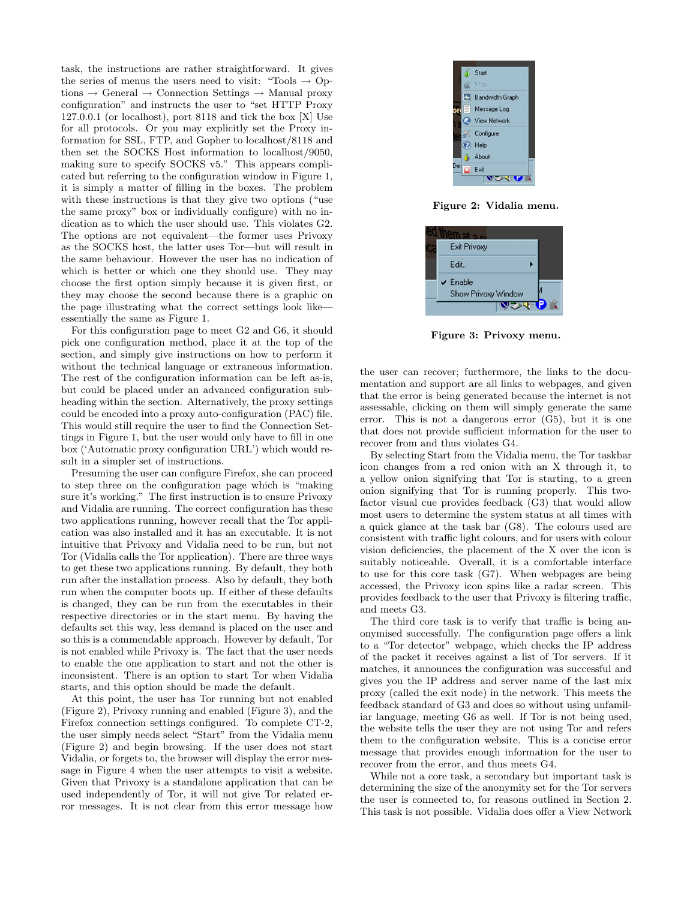task, the instructions are rather straightforward. It gives the series of menus the users need to visit: "Tools  $\rightarrow$  Options  $\rightarrow$  General  $\rightarrow$  Connection Settings  $\rightarrow$  Manual proxy configuration" and instructs the user to "set HTTP Proxy 127.0.0.1 (or localhost), port 8118 and tick the box [X] Use for all protocols. Or you may explicitly set the Proxy information for SSL, FTP, and Gopher to localhost/8118 and then set the SOCKS Host information to localhost/9050, making sure to specify SOCKS v5." This appears complicated but referring to the configuration window in Figure 1, it is simply a matter of filling in the boxes. The problem with these instructions is that they give two options ("use the same proxy" box or individually configure) with no indication as to which the user should use. This violates G2. The options are not equivalent—the former uses Privoxy as the SOCKS host, the latter uses Tor—but will result in the same behaviour. However the user has no indication of which is better or which one they should use. They may choose the first option simply because it is given first, or they may choose the second because there is a graphic on the page illustrating what the correct settings look like essentially the same as Figure 1.

For this configuration page to meet G2 and G6, it should pick one configuration method, place it at the top of the section, and simply give instructions on how to perform it without the technical language or extraneous information. The rest of the configuration information can be left as-is, but could be placed under an advanced configuration subheading within the section. Alternatively, the proxy settings could be encoded into a proxy auto-configuration (PAC) file. This would still require the user to find the Connection Settings in Figure 1, but the user would only have to fill in one box ('Automatic proxy configuration URL') which would result in a simpler set of instructions.

Presuming the user can configure Firefox, she can proceed to step three on the configuration page which is "making sure it's working." The first instruction is to ensure Privoxy and Vidalia are running. The correct configuration has these two applications running, however recall that the Tor application was also installed and it has an executable. It is not intuitive that Privoxy and Vidalia need to be run, but not Tor (Vidalia calls the Tor application). There are three ways to get these two applications running. By default, they both run after the installation process. Also by default, they both run when the computer boots up. If either of these defaults is changed, they can be run from the executables in their respective directories or in the start menu. By having the defaults set this way, less demand is placed on the user and so this is a commendable approach. However by default, Tor is not enabled while Privoxy is. The fact that the user needs to enable the one application to start and not the other is inconsistent. There is an option to start Tor when Vidalia starts, and this option should be made the default.

At this point, the user has Tor running but not enabled (Figure 2), Privoxy running and enabled (Figure 3), and the Firefox connection settings configured. To complete CT-2, the user simply needs select "Start" from the Vidalia menu (Figure 2) and begin browsing. If the user does not start Vidalia, or forgets to, the browser will display the error message in Figure 4 when the user attempts to visit a website. Given that Privoxy is a standalone application that can be used independently of Tor, it will not give Tor related error messages. It is not clear from this error message how



Figure 2: Vidalia menu.



Figure 3: Privoxy menu.

the user can recover; furthermore, the links to the documentation and support are all links to webpages, and given that the error is being generated because the internet is not assessable, clicking on them will simply generate the same error. This is not a dangerous error (G5), but it is one that does not provide sufficient information for the user to recover from and thus violates G4.

By selecting Start from the Vidalia menu, the Tor taskbar icon changes from a red onion with an X through it, to a yellow onion signifying that Tor is starting, to a green onion signifying that Tor is running properly. This twofactor visual cue provides feedback (G3) that would allow most users to determine the system status at all times with a quick glance at the task bar (G8). The colours used are consistent with traffic light colours, and for users with colour vision deficiencies, the placement of the X over the icon is suitably noticeable. Overall, it is a comfortable interface to use for this core task (G7). When webpages are being accessed, the Privoxy icon spins like a radar screen. This provides feedback to the user that Privoxy is filtering traffic, and meets G3.

The third core task is to verify that traffic is being anonymised successfully. The configuration page offers a link to a "Tor detector" webpage, which checks the IP address of the packet it receives against a list of Tor servers. If it matches, it announces the configuration was successful and gives you the IP address and server name of the last mix proxy (called the exit node) in the network. This meets the feedback standard of G3 and does so without using unfamiliar language, meeting G6 as well. If Tor is not being used, the website tells the user they are not using Tor and refers them to the configuration website. This is a concise error message that provides enough information for the user to recover from the error, and thus meets G4.

While not a core task, a secondary but important task is determining the size of the anonymity set for the Tor servers the user is connected to, for reasons outlined in Section 2. This task is not possible. Vidalia does offer a View Network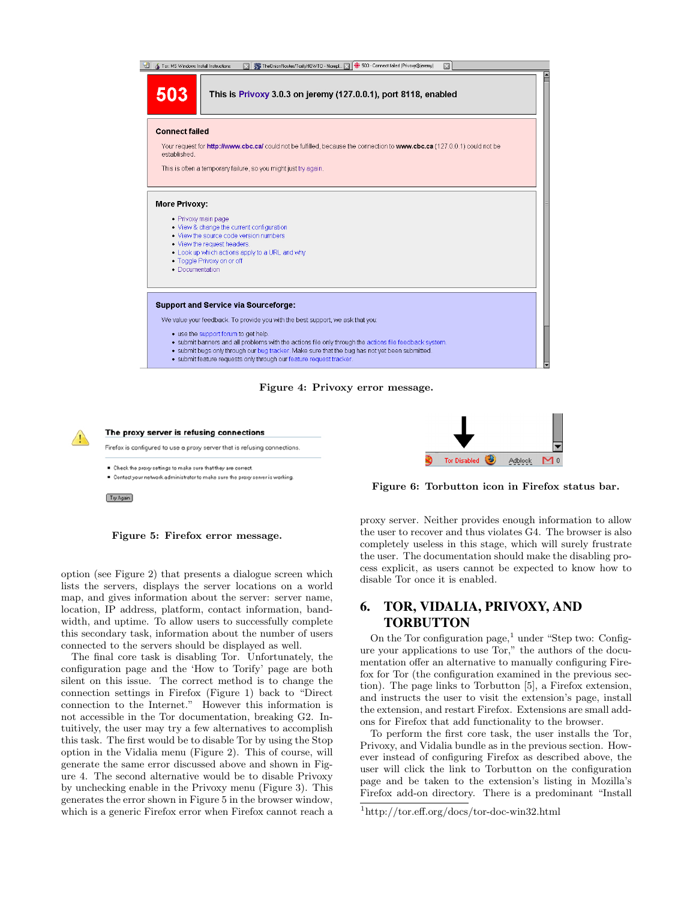







option (see Figure 2) that presents a dialogue screen which lists the servers, displays the server locations on a world map, and gives information about the server: server name, location, IP address, platform, contact information, bandwidth, and uptime. To allow users to successfully complete this secondary task, information about the number of users connected to the servers should be displayed as well.

The final core task is disabling Tor. Unfortunately, the configuration page and the 'How to Torify' page are both silent on this issue. The correct method is to change the connection settings in Firefox (Figure 1) back to "Direct connection to the Internet." However this information is not accessible in the Tor documentation, breaking G2. Intuitively, the user may try a few alternatives to accomplish this task. The first would be to disable Tor by using the Stop option in the Vidalia menu (Figure 2). This of course, will generate the same error discussed above and shown in Figure 4. The second alternative would be to disable Privoxy by unchecking enable in the Privoxy menu (Figure 3). This generates the error shown in Figure 5 in the browser window, which is a generic Firefox error when Firefox cannot reach a



Figure 6: Torbutton icon in Firefox status bar.

proxy server. Neither provides enough information to allow the user to recover and thus violates G4. The browser is also completely useless in this stage, which will surely frustrate the user. The documentation should make the disabling process explicit, as users cannot be expected to know how to disable Tor once it is enabled.

# 6. TOR, VIDALIA, PRIVOXY, AND **TORBUTTON**

On the Tor configuration page, $<sup>1</sup>$  under "Step two: Config-</sup> ure your applications to use Tor," the authors of the documentation offer an alternative to manually configuring Firefox for Tor (the configuration examined in the previous section). The page links to Torbutton [5], a Firefox extension, and instructs the user to visit the extension's page, install the extension, and restart Firefox. Extensions are small addons for Firefox that add functionality to the browser.

To perform the first core task, the user installs the Tor, Privoxy, and Vidalia bundle as in the previous section. However instead of configuring Firefox as described above, the user will click the link to Torbutton on the configuration page and be taken to the extension's listing in Mozilla's Firefox add-on directory. There is a predominant "Install

<sup>1</sup>http://tor.eff.org/docs/tor-doc-win32.html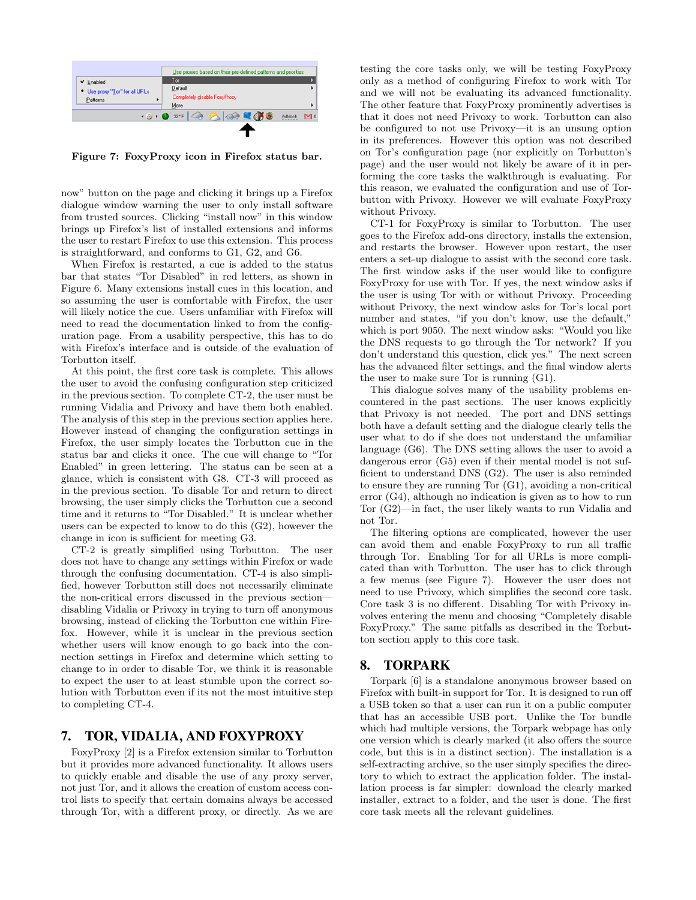

Figure 7: FoxyProxy icon in Firefox status bar.

now" button on the page and clicking it brings up a Firefox dialogue window warning the user to only install software from trusted sources. Clicking "install now" in this window brings up Firefox's list of installed extensions and informs the user to restart Firefox to use this extension. This process is straightforward, and conforms to G1, G2, and G6.

When Firefox is restarted, a cue is added to the status bar that states "Tor Disabled" in red letters, as shown in Figure 6. Many extensions install cues in this location, and so assuming the user is comfortable with Firefox, the user will likely notice the cue. Users unfamiliar with Firefox will need to read the documentation linked to from the configuration page. From a usability perspective, this has to do with Firefox's interface and is outside of the evaluation of Torbutton itself.

At this point, the first core task is complete. This allows the user to avoid the confusing configuration step criticized in the previous section. To complete CT-2, the user must be running Vidalia and Privoxy and have them both enabled. The analysis of this step in the previous section applies here. However instead of changing the configuration settings in Firefox, the user simply locates the Torbutton cue in the status bar and clicks it once. The cue will change to "Tor Enabled" in green lettering. The status can be seen at a glance, which is consistent with G8. CT-3 will proceed as in the previous section. To disable Tor and return to direct browsing, the user simply clicks the Torbutton cue a second time and it returns to "Tor Disabled." It is unclear whether users can be expected to know to do this (G2), however the change in icon is sufficient for meeting G3.

CT-2 is greatly simplified using Torbutton. The user does not have to change any settings within Firefox or wade through the confusing documentation. CT-4 is also simplified, however Torbutton still does not necessarily eliminate the non-critical errors discussed in the previous section disabling Vidalia or Privoxy in trying to turn off anonymous browsing, instead of clicking the Torbutton cue within Firefox. However, while it is unclear in the previous section whether users will know enough to go back into the connection settings in Firefox and determine which setting to change to in order to disable Tor, we think it is reasonable to expect the user to at least stumble upon the correct solution with Torbutton even if its not the most intuitive step to completing CT-4.

#### 7. TOR, VIDALIA, AND FOXYPROXY

FoxyProxy [2] is a Firefox extension similar to Torbutton but it provides more advanced functionality. It allows users to quickly enable and disable the use of any proxy server, not just Tor, and it allows the creation of custom access control lists to specify that certain domains always be accessed through Tor, with a different proxy, or directly. As we are testing the core tasks only, we will be testing FoxyProxy only as a method of configuring Firefox to work with Tor and we will not be evaluating its advanced functionality. The other feature that FoxyProxy prominently advertises is that it does not need Privoxy to work. Torbutton can also be configured to not use Privoxy—it is an unsung option in its preferences. However this option was not described on Tor's configuration page (nor explicitly on Torbutton's page) and the user would not likely be aware of it in performing the core tasks the walkthrough is evaluating. For this reason, we evaluated the configuration and use of Torbutton with Privoxy. However we will evaluate FoxyProxy without Privoxy.

CT-1 for FoxyProxy is similar to Torbutton. The user goes to the Firefox add-ons directory, installs the extension, and restarts the browser. However upon restart, the user enters a set-up dialogue to assist with the second core task. The first window asks if the user would like to configure FoxyProxy for use with Tor. If yes, the next window asks if the user is using Tor with or without Privoxy. Proceeding without Privoxy, the next window asks for Tor's local port number and states, "if you don't know, use the default," which is port 9050. The next window asks: "Would you like the DNS requests to go through the Tor network? If you don't understand this question, click yes." The next screen has the advanced filter settings, and the final window alerts the user to make sure Tor is running (G1).

This dialogue solves many of the usability problems encountered in the past sections. The user knows explicitly that Privoxy is not needed. The port and DNS settings both have a default setting and the dialogue clearly tells the user what to do if she does not understand the unfamiliar language (G6). The DNS setting allows the user to avoid a dangerous error (G5) even if their mental model is not sufficient to understand DNS (G2). The user is also reminded to ensure they are running Tor (G1), avoiding a non-critical error (G4), although no indication is given as to how to run Tor (G2)—in fact, the user likely wants to run Vidalia and not Tor.

The filtering options are complicated, however the user can avoid them and enable FoxyProxy to run all traffic through Tor. Enabling Tor for all URLs is more complicated than with Torbutton. The user has to click through a few menus (see Figure 7). However the user does not need to use Privoxy, which simplifies the second core task. Core task 3 is no different. Disabling Tor with Privoxy involves entering the menu and choosing "Completely disable FoxyProxy." The same pitfalls as described in the Torbutton section apply to this core task.

#### 8. TORPARK

Torpark [6] is a standalone anonymous browser based on Firefox with built-in support for Tor. It is designed to run off a USB token so that a user can run it on a public computer that has an accessible USB port. Unlike the Tor bundle which had multiple versions, the Torpark webpage has only one version which is clearly marked (it also offers the source code, but this is in a distinct section). The installation is a self-extracting archive, so the user simply specifies the directory to which to extract the application folder. The installation process is far simpler: download the clearly marked installer, extract to a folder, and the user is done. The first core task meets all the relevant guidelines.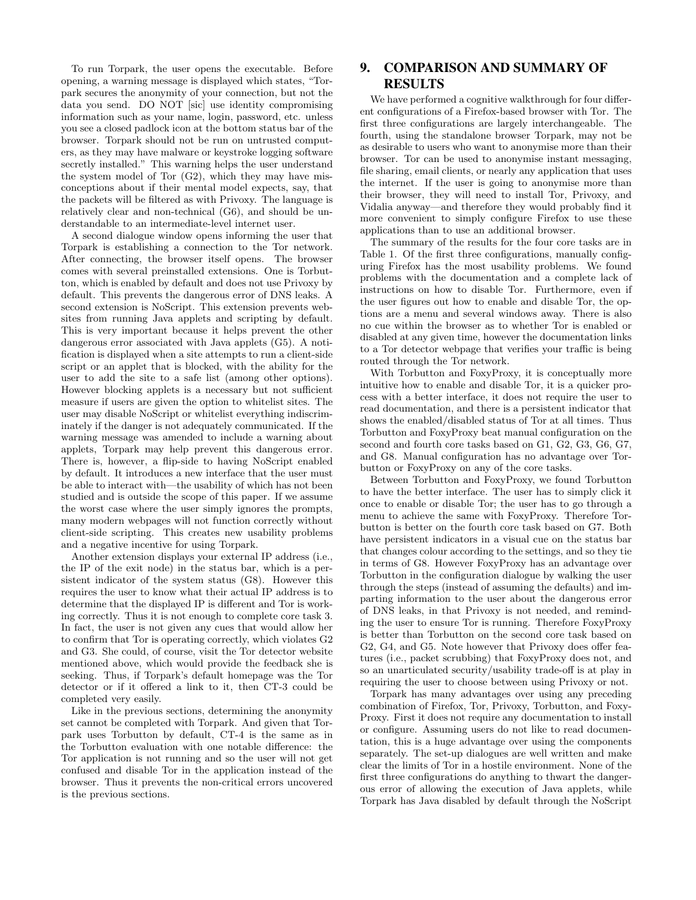To run Torpark, the user opens the executable. Before opening, a warning message is displayed which states, "Torpark secures the anonymity of your connection, but not the data you send. DO NOT [sic] use identity compromising information such as your name, login, password, etc. unless you see a closed padlock icon at the bottom status bar of the browser. Torpark should not be run on untrusted computers, as they may have malware or keystroke logging software secretly installed." This warning helps the user understand the system model of Tor (G2), which they may have misconceptions about if their mental model expects, say, that the packets will be filtered as with Privoxy. The language is relatively clear and non-technical (G6), and should be understandable to an intermediate-level internet user.

A second dialogue window opens informing the user that Torpark is establishing a connection to the Tor network. After connecting, the browser itself opens. The browser comes with several preinstalled extensions. One is Torbutton, which is enabled by default and does not use Privoxy by default. This prevents the dangerous error of DNS leaks. A second extension is NoScript. This extension prevents websites from running Java applets and scripting by default. This is very important because it helps prevent the other dangerous error associated with Java applets (G5). A notification is displayed when a site attempts to run a client-side script or an applet that is blocked, with the ability for the user to add the site to a safe list (among other options). However blocking applets is a necessary but not sufficient measure if users are given the option to whitelist sites. The user may disable NoScript or whitelist everything indiscriminately if the danger is not adequately communicated. If the warning message was amended to include a warning about applets, Torpark may help prevent this dangerous error. There is, however, a flip-side to having NoScript enabled by default. It introduces a new interface that the user must be able to interact with—the usability of which has not been studied and is outside the scope of this paper. If we assume the worst case where the user simply ignores the prompts, many modern webpages will not function correctly without client-side scripting. This creates new usability problems and a negative incentive for using Torpark.

Another extension displays your external IP address (i.e., the IP of the exit node) in the status bar, which is a persistent indicator of the system status (G8). However this requires the user to know what their actual IP address is to determine that the displayed IP is different and Tor is working correctly. Thus it is not enough to complete core task 3. In fact, the user is not given any cues that would allow her to confirm that Tor is operating correctly, which violates G2 and G3. She could, of course, visit the Tor detector website mentioned above, which would provide the feedback she is seeking. Thus, if Torpark's default homepage was the Tor detector or if it offered a link to it, then CT-3 could be completed very easily.

Like in the previous sections, determining the anonymity set cannot be completed with Torpark. And given that Torpark uses Torbutton by default, CT-4 is the same as in the Torbutton evaluation with one notable difference: the Tor application is not running and so the user will not get confused and disable Tor in the application instead of the browser. Thus it prevents the non-critical errors uncovered is the previous sections.

# 9. COMPARISON AND SUMMARY OF RESULTS

We have performed a cognitive walkthrough for four different configurations of a Firefox-based browser with Tor. The first three configurations are largely interchangeable. The fourth, using the standalone browser Torpark, may not be as desirable to users who want to anonymise more than their browser. Tor can be used to anonymise instant messaging, file sharing, email clients, or nearly any application that uses the internet. If the user is going to anonymise more than their browser, they will need to install Tor, Privoxy, and Vidalia anyway—and therefore they would probably find it more convenient to simply configure Firefox to use these applications than to use an additional browser.

The summary of the results for the four core tasks are in Table 1. Of the first three configurations, manually configuring Firefox has the most usability problems. We found problems with the documentation and a complete lack of instructions on how to disable Tor. Furthermore, even if the user figures out how to enable and disable Tor, the options are a menu and several windows away. There is also no cue within the browser as to whether Tor is enabled or disabled at any given time, however the documentation links to a Tor detector webpage that verifies your traffic is being routed through the Tor network.

With Torbutton and FoxyProxy, it is conceptually more intuitive how to enable and disable Tor, it is a quicker process with a better interface, it does not require the user to read documentation, and there is a persistent indicator that shows the enabled/disabled status of Tor at all times. Thus Torbutton and FoxyProxy beat manual configuration on the second and fourth core tasks based on G1, G2, G3, G6, G7, and G8. Manual configuration has no advantage over Torbutton or FoxyProxy on any of the core tasks.

Between Torbutton and FoxyProxy, we found Torbutton to have the better interface. The user has to simply click it once to enable or disable Tor; the user has to go through a menu to achieve the same with FoxyProxy. Therefore Torbutton is better on the fourth core task based on G7. Both have persistent indicators in a visual cue on the status bar that changes colour according to the settings, and so they tie in terms of G8. However FoxyProxy has an advantage over Torbutton in the configuration dialogue by walking the user through the steps (instead of assuming the defaults) and imparting information to the user about the dangerous error of DNS leaks, in that Privoxy is not needed, and reminding the user to ensure Tor is running. Therefore FoxyProxy is better than Torbutton on the second core task based on G2, G4, and G5. Note however that Privoxy does offer features (i.e., packet scrubbing) that FoxyProxy does not, and so an unarticulated security/usability trade-off is at play in requiring the user to choose between using Privoxy or not.

Torpark has many advantages over using any preceding combination of Firefox, Tor, Privoxy, Torbutton, and Foxy-Proxy. First it does not require any documentation to install or configure. Assuming users do not like to read documentation, this is a huge advantage over using the components separately. The set-up dialogues are well written and make clear the limits of Tor in a hostile environment. None of the first three configurations do anything to thwart the dangerous error of allowing the execution of Java applets, while Torpark has Java disabled by default through the NoScript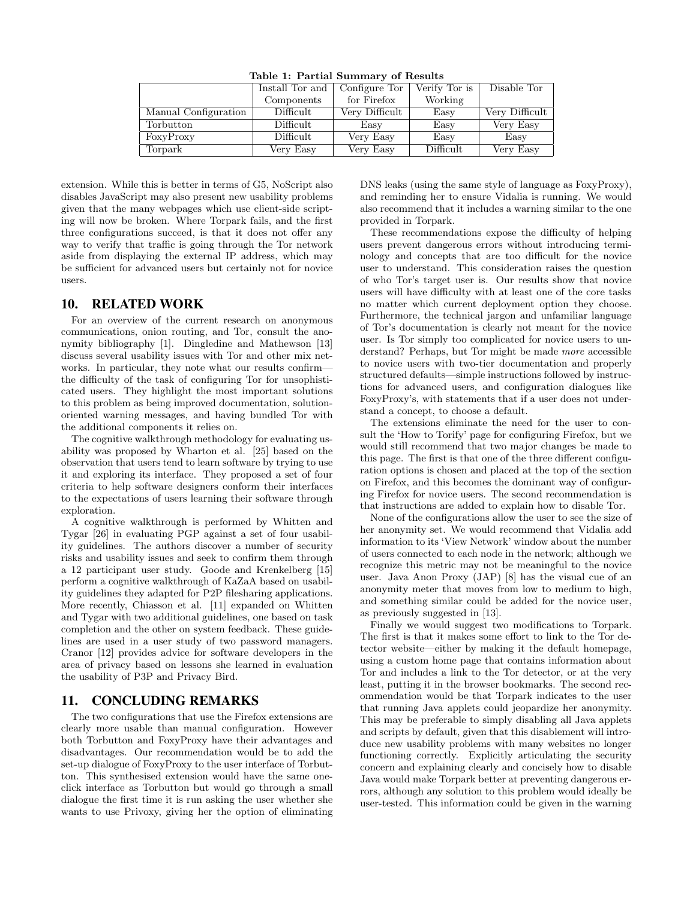|                      | Install Tor and | Configure Tor  | Verify Tor is | Disable Tor    |
|----------------------|-----------------|----------------|---------------|----------------|
|                      | Components      | for Firefox    | Working       |                |
| Manual Configuration | Difficult       | Very Difficult | Easy          | Very Difficult |
| Torbutton            | Difficult       | Easy           | Easy          | Very Easy      |
| FoxyProxy            | Difficult       | Very Easy      | Easy          | Easy           |
| Torpark              | Very Easy       | Very Easy      | Difficult     | Very Easy      |

Table 1: Partial Summary of Results

extension. While this is better in terms of G5, NoScript also disables JavaScript may also present new usability problems given that the many webpages which use client-side scripting will now be broken. Where Torpark fails, and the first three configurations succeed, is that it does not offer any way to verify that traffic is going through the Tor network aside from displaying the external IP address, which may be sufficient for advanced users but certainly not for novice users.

#### 10. RELATED WORK

For an overview of the current research on anonymous communications, onion routing, and Tor, consult the anonymity bibliography [1]. Dingledine and Mathewson [13] discuss several usability issues with Tor and other mix networks. In particular, they note what our results confirm the difficulty of the task of configuring Tor for unsophisticated users. They highlight the most important solutions to this problem as being improved documentation, solutionoriented warning messages, and having bundled Tor with the additional components it relies on.

The cognitive walkthrough methodology for evaluating usability was proposed by Wharton et al. [25] based on the observation that users tend to learn software by trying to use it and exploring its interface. They proposed a set of four criteria to help software designers conform their interfaces to the expectations of users learning their software through exploration.

A cognitive walkthrough is performed by Whitten and Tygar [26] in evaluating PGP against a set of four usability guidelines. The authors discover a number of security risks and usability issues and seek to confirm them through a 12 participant user study. Goode and Krenkelberg [15] perform a cognitive walkthrough of KaZaA based on usability guidelines they adapted for P2P filesharing applications. More recently, Chiasson et al. [11] expanded on Whitten and Tygar with two additional guidelines, one based on task completion and the other on system feedback. These guidelines are used in a user study of two password managers. Cranor [12] provides advice for software developers in the area of privacy based on lessons she learned in evaluation the usability of P3P and Privacy Bird.

#### 11. CONCLUDING REMARKS

The two configurations that use the Firefox extensions are clearly more usable than manual configuration. However both Torbutton and FoxyProxy have their advantages and disadvantages. Our recommendation would be to add the set-up dialogue of FoxyProxy to the user interface of Torbutton. This synthesised extension would have the same oneclick interface as Torbutton but would go through a small dialogue the first time it is run asking the user whether she wants to use Privoxy, giving her the option of eliminating DNS leaks (using the same style of language as FoxyProxy), and reminding her to ensure Vidalia is running. We would also recommend that it includes a warning similar to the one provided in Torpark.

These recommendations expose the difficulty of helping users prevent dangerous errors without introducing terminology and concepts that are too difficult for the novice user to understand. This consideration raises the question of who Tor's target user is. Our results show that novice users will have difficulty with at least one of the core tasks no matter which current deployment option they choose. Furthermore, the technical jargon and unfamiliar language of Tor's documentation is clearly not meant for the novice user. Is Tor simply too complicated for novice users to understand? Perhaps, but Tor might be made more accessible to novice users with two-tier documentation and properly structured defaults—simple instructions followed by instructions for advanced users, and configuration dialogues like FoxyProxy's, with statements that if a user does not understand a concept, to choose a default.

The extensions eliminate the need for the user to consult the 'How to Torify' page for configuring Firefox, but we would still recommend that two major changes be made to this page. The first is that one of the three different configuration options is chosen and placed at the top of the section on Firefox, and this becomes the dominant way of configuring Firefox for novice users. The second recommendation is that instructions are added to explain how to disable Tor.

None of the configurations allow the user to see the size of her anonymity set. We would recommend that Vidalia add information to its 'View Network' window about the number of users connected to each node in the network; although we recognize this metric may not be meaningful to the novice user. Java Anon Proxy (JAP) [8] has the visual cue of an anonymity meter that moves from low to medium to high, and something similar could be added for the novice user, as previously suggested in [13].

Finally we would suggest two modifications to Torpark. The first is that it makes some effort to link to the Tor detector website—either by making it the default homepage, using a custom home page that contains information about Tor and includes a link to the Tor detector, or at the very least, putting it in the browser bookmarks. The second recommendation would be that Torpark indicates to the user that running Java applets could jeopardize her anonymity. This may be preferable to simply disabling all Java applets and scripts by default, given that this disablement will introduce new usability problems with many websites no longer functioning correctly. Explicitly articulating the security concern and explaining clearly and concisely how to disable Java would make Torpark better at preventing dangerous errors, although any solution to this problem would ideally be user-tested. This information could be given in the warning